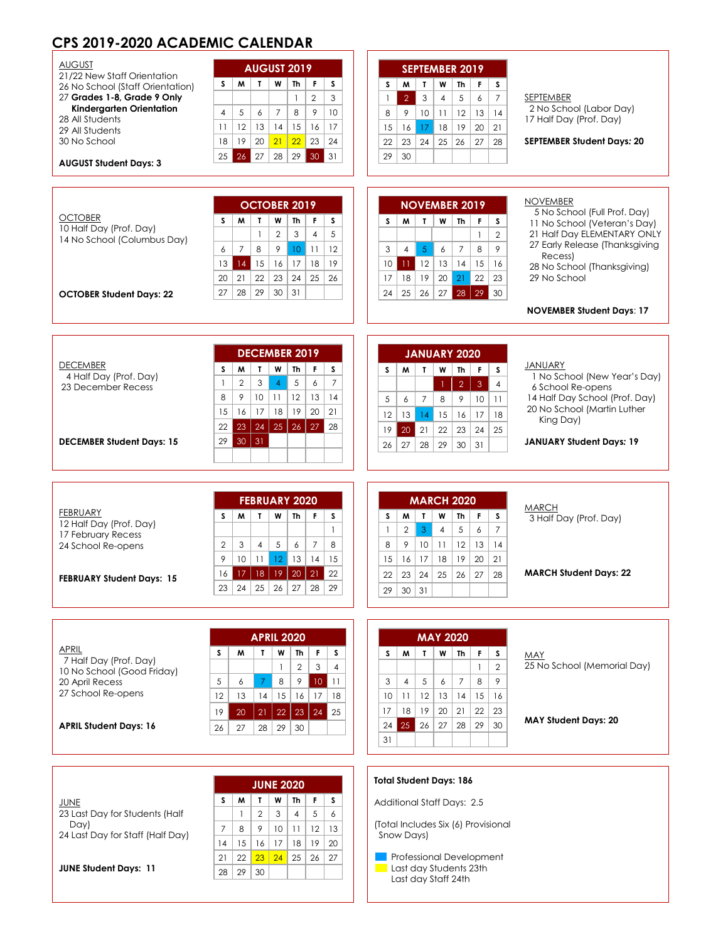# **CPS 2019-2020 ACADEMIC CALENDAR**

| <b>AUGUST</b>                                                   |                                                                                             |                                                                                                                             |
|-----------------------------------------------------------------|---------------------------------------------------------------------------------------------|-----------------------------------------------------------------------------------------------------------------------------|
| 21/22 New Staff Orientation                                     | <b>AUGUST 2019</b><br>S.<br>M<br>$\mathbf{I}$<br>W                                          | <b>SEPTEMBER 2019</b><br>s<br>$\mathbf{r}$<br>W                                                                             |
| 26 No School (Staff Orientation)<br>27 Grades 1-8, Grade 9 Only | S<br><b>Th</b><br>F<br>$\overline{2}$<br>3<br>$\mathbf{1}$                                  | M<br><b>Th</b><br>F.<br>s<br>$\overline{2}$<br>3<br>$\overline{7}$<br>$\overline{4}$<br>5<br>6<br>SEPTEMBER<br>$\mathbf{1}$ |
| Kindergarten Orientation                                        | 5<br>$\overline{4}$<br>6<br>$\overline{7}$<br>8<br>9<br>10                                  | 2 No School (Labor Day)<br>9<br>10<br>11<br>12<br>14<br>8<br>13                                                             |
| 28 All Students                                                 | 12<br>13<br>15<br>16<br>14<br>17<br>11                                                      | 17 Half Day (Prof. Day)<br>17<br>16<br>18<br>19<br>20<br>21<br>15                                                           |
| 29 All Students<br>30 No School                                 | 21<br>22<br>19<br>20<br>23<br>24<br>18                                                      | 24<br>28<br>22<br>23<br>25<br>26<br>27<br><b>SEPTEMBER Student Days: 20</b>                                                 |
|                                                                 | 26<br>$30 \vert 31$<br>25<br>27<br>28<br>29                                                 | 29<br>30                                                                                                                    |
| <b>AUGUST Student Days: 3</b>                                   |                                                                                             |                                                                                                                             |
|                                                                 |                                                                                             |                                                                                                                             |
|                                                                 | OCTOBER 2019                                                                                | <b>NOVEMBER</b><br><b>NOVEMBER 2019</b>                                                                                     |
| <b>OCTOBER</b>                                                  | T.<br>W<br><b>Th</b><br>F<br>s<br>s<br>M                                                    | 5 No School (Full Prof. Day)<br>W<br>s<br>M<br>$\mathbf{L}$<br>Th<br>F<br>s<br>11 No School (Veteran's Day)                 |
| 10 Half Day (Prof. Day)<br>14 No School (Columbus Day)          | $\overline{2}$<br>3<br>$\overline{4}$<br>5<br>$\mathbf{1}$                                  | 21 Half Day ELEMENTARY ONLY<br>$\overline{2}$<br>$\mathbf{1}$                                                               |
|                                                                 | 8<br>$\overline{7}$<br>9<br>10<br>11<br>12<br>6                                             | 27 Early Release (Thanksgiving<br>$\overline{5}$<br>9<br>3<br>$\overline{4}$<br>6<br>$\overline{7}$<br>8                    |
|                                                                 | 13<br>14<br>15<br>17<br>18<br>19<br>16                                                      | Recess)<br>15<br>10<br>12<br>13<br>14<br>16<br>11 <sub>1</sub><br>28 No School (Thanksgiving)                               |
|                                                                 | 22<br>23<br>25<br>20<br>21<br>24<br>26                                                      | 29 No School<br>22<br>17<br>18<br>19<br>20<br>21<br>23                                                                      |
| <b>OCTOBER Student Days: 22</b>                                 | 28<br>27<br>29<br>30<br>31                                                                  | 25<br>27<br>28<br>$\vert$ 29 30<br>26<br>24                                                                                 |
|                                                                 |                                                                                             | <b>NOVEMBER Student Days: 17</b>                                                                                            |
|                                                                 |                                                                                             |                                                                                                                             |
|                                                                 | <b>DECEMBER 2019</b>                                                                        | <b>JANUARY 2020</b>                                                                                                         |
| <b>DECEMBER</b>                                                 | T.<br>W<br>Th<br>S.<br>s<br>M<br>F                                                          | <b>JANUARY</b><br>$\mathbf{r}$<br>W<br>M<br>Th<br>F.<br>s<br>s                                                              |
| 4 Half Day (Prof. Day)                                          | $\overline{7}$<br>$\overline{2}$<br>3<br>$\overline{4}$<br>5<br>6<br>$\mathbf{1}$           | 1 No School (New Year's Day)                                                                                                |
| 23 December Recess                                              | 12<br>13<br>8<br>9<br>10 <sup>°</sup><br>11<br>14                                           | $\overline{2}$<br>$\overline{3}$<br>$\overline{4}$<br>-1<br>6 School Re-opens<br>14 Half Day School (Prof. Day)             |
|                                                                 | 16<br>17<br>18<br>19<br>20<br>15<br>21                                                      | $\overline{7}$<br>5<br>8<br>9<br>6<br>10 <sup>°</sup><br>11<br>20 No School (Martin Luther                                  |
|                                                                 | 24<br>25<br>26<br>27<br>23<br>28<br>22                                                      | 12<br>13<br>14<br>15<br>16<br>17<br>18<br>King Day)                                                                         |
| <b>DECEMBER Student Days: 15</b>                                | 30<br>31<br>29                                                                              | 19<br>20<br>21<br>22<br>23<br>24<br>25<br><b>JANUARY Student Days: 19</b>                                                   |
|                                                                 |                                                                                             | 28<br>29<br>26<br>27<br>30<br>31                                                                                            |
|                                                                 |                                                                                             |                                                                                                                             |
|                                                                 |                                                                                             |                                                                                                                             |
|                                                                 | <b>FEBRUARY 2020</b>                                                                        | <b>MARCH 2020</b><br><b>MARCH</b>                                                                                           |
| <b>FEBRUARY</b><br>12 Half Day (Prof. Day)                      | W<br>F.<br>s<br>M<br>T<br>Th<br>s                                                           | W<br>F<br>s<br>W<br>T<br>Th<br>s<br>3 Half Day (Prof. Day)                                                                  |
| 17 February Recess                                              | $\mathbf{1}$                                                                                | $\mathbf{3}$<br>$\overline{7}$<br>$\overline{2}$<br>5<br>6<br>$\mathbf{1}$<br>$\overline{4}$                                |
| 24 School Re-opens                                              | 5<br>$\overline{7}$<br>8<br>2<br>3<br>$\overline{4}$<br>6                                   | 9<br>10<br>12<br>13<br>14<br>8<br>11                                                                                        |
|                                                                 | 9<br>10<br>11<br>12<br>13<br>14<br>15                                                       | 16<br>17<br>19<br>20<br>21<br>15<br>18                                                                                      |
| <b>FEBRUARY Student Days: 15</b>                                | 18<br> 19 <br>22<br>17 <sup>°</sup><br>20 <sup>1</sup><br> 21 <br>16                        | <b>MARCH Student Days: 22</b><br>23<br>24<br>22<br>25<br>26<br>27<br>28                                                     |
|                                                                 | 24<br>25<br>26<br>27<br>28<br>29<br>23                                                      | 29<br>30<br>31                                                                                                              |
|                                                                 |                                                                                             |                                                                                                                             |
|                                                                 | <b>APRIL 2020</b>                                                                           | <b>MAY 2020</b>                                                                                                             |
| APRIL                                                           |                                                                                             |                                                                                                                             |
| 7 Half Day (Prof. Day)                                          | w<br>s<br>M<br>T.<br>Th<br>F.<br>s<br>$\overline{2}$<br>3<br>$\overline{4}$<br>$\mathbf{1}$ | W<br>S.<br>W<br>T.<br>Th<br>F.<br>s<br>MAY<br>25 No School (Memorial Day)<br>$\overline{2}$                                 |
| 10 No School (Good Friday)                                      | 5<br>6<br>8<br>9<br>7                                                                       | $\mathbf{1}$<br>9<br>3<br>$\overline{4}$<br>5<br>6<br>$\overline{7}$<br>8                                                   |
| 20 April Recess<br>27 School Re-opens                           | $10\,$<br>  11<br>14<br>15<br>16<br>17<br>12<br>13<br>18                                    | 12<br>10<br>11<br>13<br>14<br>15<br>16                                                                                      |
|                                                                 |                                                                                             | 18<br>19<br>20<br>23<br>17<br>21<br>22                                                                                      |
| <b>APRIL Student Days: 16</b>                                   | 22<br>23<br>24<br>25<br>19<br>20<br>21                                                      | <b>MAY Student Days: 20</b><br>25<br>26<br>27<br>28<br>29<br>30<br>24                                                       |
|                                                                 | 29<br>26<br>27<br>28<br>30                                                                  | 31                                                                                                                          |
|                                                                 |                                                                                             |                                                                                                                             |
|                                                                 |                                                                                             |                                                                                                                             |
|                                                                 | <b>JUNE 2020</b>                                                                            | <b>Total Student Days: 186</b>                                                                                              |
| JUNE                                                            | M<br>T<br>W<br>F.<br>S.<br>s<br>Th                                                          | <b>Additional Staff Days: 2.5</b>                                                                                           |
| 23 Last Day for Students (Half                                  | $\mathbf{2}$<br>3<br>5<br>6<br>$\mathbf{1}$<br>$\overline{4}$                               |                                                                                                                             |
| Day)<br>24 Last Day for Staff (Half Day)                        | 12<br>$\overline{7}$<br>8<br>9<br>10<br>11<br>13                                            | (Total Includes Six (6) Provisional<br>Snow Days)                                                                           |
|                                                                 | 19<br>15<br>20<br>14<br>16<br>17<br>18                                                      |                                                                                                                             |

**Professional Development Last day Students 23th** Last day Staff 24th

**JUNE Student Days: 11**

| <b>JUNE 2020</b> |    |                |    |    |                |    |
|------------------|----|----------------|----|----|----------------|----|
| S                | м  |                | W  | Th | F              | S  |
|                  |    | $\overline{2}$ | 3  | 4  | 5              | 6  |
| 7                | 8  | 9              | 10 | 11 | 12             | 13 |
| 14               | 15 | 16             | 17 | 18 | 19             | 20 |
| 21               | 22 | 23             | 24 | 25 | $\frac{1}{26}$ | 27 |
| 28               | 29 | 30             |    |    |                |    |